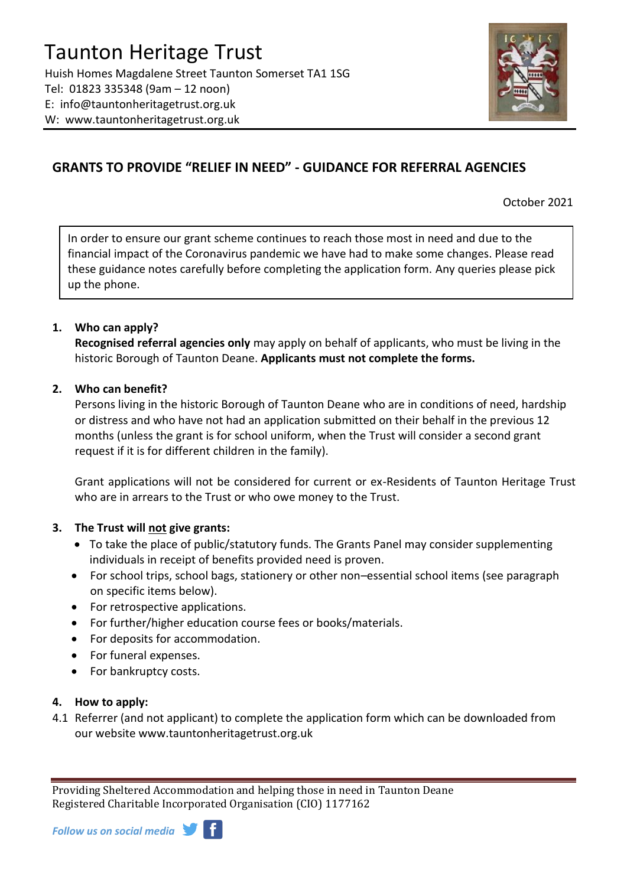

# **GRANTS TO PROVIDE "RELIEF IN NEED" - GUIDANCE FOR REFERRAL AGENCIES**

October 2021

In order to ensure our grant scheme continues to reach those most in need and due to the financial impact of the Coronavirus pandemic we have had to make some changes. Please read these guidance notes carefully before completing the application form. Any queries please pick up the phone.

## **1. Who can apply?**

**Recognised referral agencies only** may apply on behalf of applicants, who must be living in the historic Borough of Taunton Deane. **Applicants must not complete the forms.**

## **2. Who can benefit?**

Persons living in the historic Borough of Taunton Deane who are in conditions of need, hardship or distress and who have not had an application submitted on their behalf in the previous 12 months (unless the grant is for school uniform, when the Trust will consider a second grant request if it is for different children in the family).

Grant applications will not be considered for current or ex-Residents of Taunton Heritage Trust who are in arrears to the Trust or who owe money to the Trust.

## **3. The Trust will not give grants:**

- To take the place of public/statutory funds. The Grants Panel may consider supplementing individuals in receipt of benefits provided need is proven.
- For school trips, school bags, stationery or other non–essential school items (see paragraph on specific items below).
- For retrospective applications.
- For further/higher education course fees or books/materials.
- For deposits for accommodation.
- For funeral expenses.
- For bankruptcy costs.

## **4. How to apply:**

4.1 Referrer (and not applicant) to complete the application form which can be downloaded from our website www.tauntonheritagetrust.org.uk

Providing Sheltered Accommodation and helping those in need in Taunton Deane Registered Charitable Incorporated Organisation (CIO) 1177162

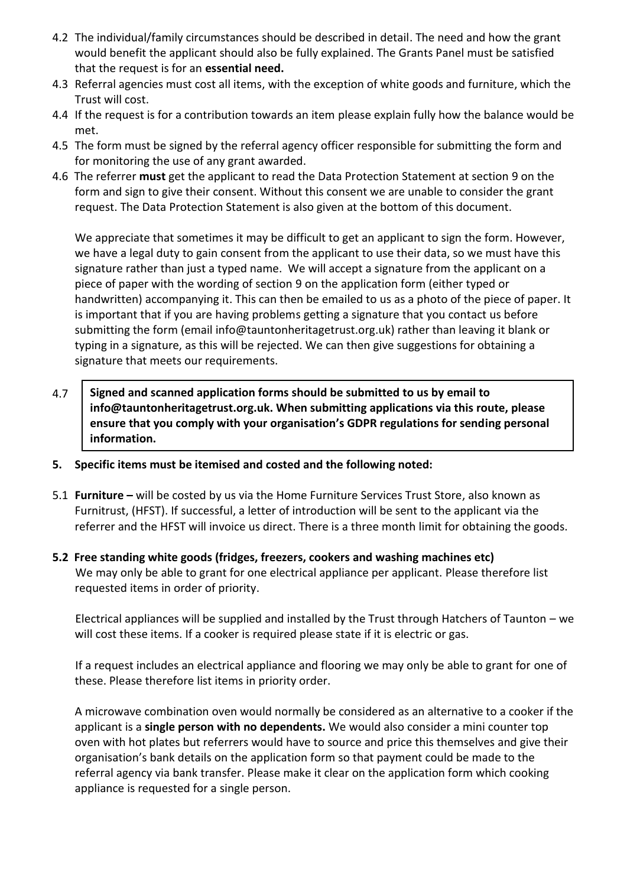- 4.2 The individual/family circumstances should be described in detail. The need and how the grant would benefit the applicant should also be fully explained. The Grants Panel must be satisfied that the request is for an **essential need.**
- 4.3 Referral agencies must cost all items, with the exception of white goods and furniture, which the Trust will cost.
- 4.4 If the request is for a contribution towards an item please explain fully how the balance would be met.
- 4.5 The form must be signed by the referral agency officer responsible for submitting the form and for monitoring the use of any grant awarded.
- 4.6 The referrer **must** get the applicant to read the Data Protection Statement at section 9 on the form and sign to give their consent. Without this consent we are unable to consider the grant request. The Data Protection Statement is also given at the bottom of this document.

We appreciate that sometimes it may be difficult to get an applicant to sign the form. However, we have a legal duty to gain consent from the applicant to use their data, so we must have this signature rather than just a typed name. We will accept a signature from the applicant on a piece of paper with the wording of section 9 on the application form (either typed or handwritten) accompanying it. This can then be emailed to us as a photo of the piece of paper. It is important that if you are having problems getting a signature that you contact us before submitting the form (email info@tauntonheritagetrust.org.uk) rather than leaving it blank or typing in a signature, as this will be rejected. We can then give suggestions for obtaining a signature that meets our requirements.

- 4.7 **Signed and scanned application forms should be submitted to us by email to info@tauntonheritagetrust.org.uk. When submitting applications via this route, please ensure that you comply with your organisation's GDPR regulations for sending personal information.**
- **5. Specific items must be itemised and costed and the following noted:**
- 5.1 **Furniture –** will be costed by us via the Home Furniture Services Trust Store, also known as Furnitrust, (HFST). If successful, a letter of introduction will be sent to the applicant via the referrer and the HFST will invoice us direct. There is a three month limit for obtaining the goods.
- **5.2 Free standing white goods (fridges, freezers, cookers and washing machines etc)** We may only be able to grant for one electrical appliance per applicant. Please therefore list requested items in order of priority.

Electrical appliances will be supplied and installed by the Trust through Hatchers of Taunton – we will cost these items. If a cooker is required please state if it is electric or gas.

If a request includes an electrical appliance and flooring we may only be able to grant for one of these. Please therefore list items in priority order.

A microwave combination oven would normally be considered as an alternative to a cooker if the applicant is a **single person with no dependents.** We would also consider a mini counter top oven with hot plates but referrers would have to source and price this themselves and give their organisation's bank details on the application form so that payment could be made to the referral agency via bank transfer. Please make it clear on the application form which cooking appliance is requested for a single person.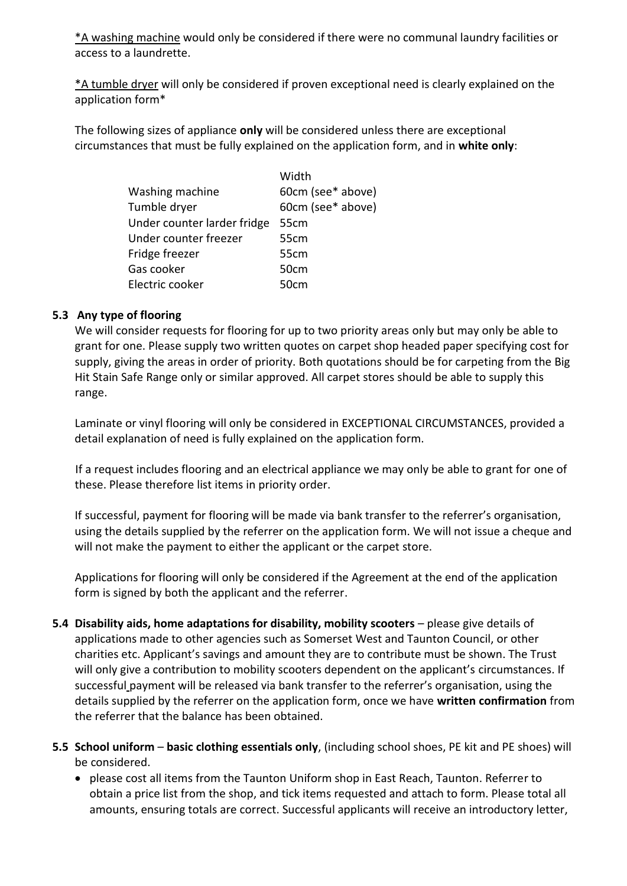\*A washing machine would only be considered if there were no communal laundry facilities or access to a laundrette.

 $*$ A tumble dryer will only be considered if proven exceptional need is clearly explained on the application form\*

The following sizes of appliance **only** will be considered unless there are exceptional circumstances that must be fully explained on the application form, and in **white only**:

|                             | Width             |
|-----------------------------|-------------------|
| Washing machine             | 60cm (see* above) |
| Tumble dryer                | 60cm (see* above) |
| Under counter larder fridge | 55 <sub>cm</sub>  |
| Under counter freezer       | 55cm              |
| Fridge freezer              | 55cm              |
| Gas cooker                  | 50cm              |
| Electric cooker             | 50cm              |

## **5.3 Any type of flooring**

We will consider requests for flooring for up to two priority areas only but may only be able to grant for one. Please supply two written quotes on carpet shop headed paper specifying cost for supply, giving the areas in order of priority. Both quotations should be for carpeting from the Big Hit Stain Safe Range only or similar approved. All carpet stores should be able to supply this range.

Laminate or vinyl flooring will only be considered in EXCEPTIONAL CIRCUMSTANCES, provided a detail explanation of need is fully explained on the application form.

If a request includes flooring and an electrical appliance we may only be able to grant for one of these. Please therefore list items in priority order.

If successful, payment for flooring will be made via bank transfer to the referrer's organisation, using the details supplied by the referrer on the application form. We will not issue a cheque and will not make the payment to either the applicant or the carpet store.

Applications for flooring will only be considered if the Agreement at the end of the application form is signed by both the applicant and the referrer.

- **5.4 Disability aids, home adaptations for disability, mobility scooters** please give details of applications made to other agencies such as Somerset West and Taunton Council, or other charities etc. Applicant's savings and amount they are to contribute must be shown. The Trust will only give a contribution to mobility scooters dependent on the applicant's circumstances. If successful payment will be released via bank transfer to the referrer's organisation, using the details supplied by the referrer on the application form, once we have **written confirmation** from the referrer that the balance has been obtained.
- **5.5 School uniform basic clothing essentials only**, (including school shoes, PE kit and PE shoes) will be considered.
	- please cost all items from the Taunton Uniform shop in East Reach, Taunton. Referrer to obtain a price list from the shop, and tick items requested and attach to form. Please total all amounts, ensuring totals are correct. Successful applicants will receive an introductory letter,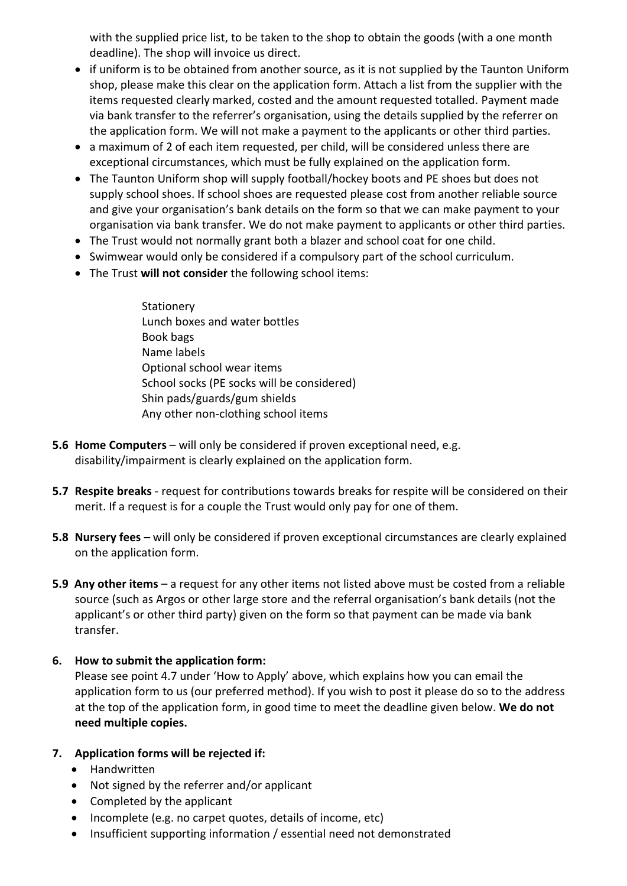with the supplied price list, to be taken to the shop to obtain the goods (with a one month deadline). The shop will invoice us direct.

- if uniform is to be obtained from another source, as it is not supplied by the Taunton Uniform shop, please make this clear on the application form. Attach a list from the supplier with the items requested clearly marked, costed and the amount requested totalled. Payment made via bank transfer to the referrer's organisation, using the details supplied by the referrer on the application form. We will not make a payment to the applicants or other third parties.
- a maximum of 2 of each item requested, per child, will be considered unless there are exceptional circumstances, which must be fully explained on the application form.
- The Taunton Uniform shop will supply football/hockey boots and PE shoes but does not supply school shoes. If school shoes are requested please cost from another reliable source and give your organisation's bank details on the form so that we can make payment to your organisation via bank transfer. We do not make payment to applicants or other third parties.
- The Trust would not normally grant both a blazer and school coat for one child.
- Swimwear would only be considered if a compulsory part of the school curriculum.
- The Trust **will not consider** the following school items:
	- **Stationery** Lunch boxes and water bottles Book bags Name labels Optional school wear items School socks (PE socks will be considered) Shin pads/guards/gum shields Any other non-clothing school items
- **5.6 Home Computers** will only be considered if proven exceptional need, e.g. disability/impairment is clearly explained on the application form.
- **5.7 Respite breaks** *-* request for contributions towards breaks for respite will be considered on their merit. If a request is for a couple the Trust would only pay for one of them.
- **5.8 Nursery fees –** will only be considered if proven exceptional circumstances are clearly explained on the application form.
- **5.9 Any other items**  a request for any other items not listed above must be costed from a reliable source (such as Argos or other large store and the referral organisation's bank details (not the applicant's or other third party) given on the form so that payment can be made via bank transfer.

## **6. How to submit the application form:**

Please see point 4.7 under 'How to Apply' above, which explains how you can email the application form to us (our preferred method). If you wish to post it please do so to the address at the top of the application form, in good time to meet the deadline given below. **We do not need multiple copies.**

## **7. Application forms will be rejected if:**

- Handwritten
- Not signed by the referrer and/or applicant
- Completed by the applicant
- Incomplete (e.g. no carpet quotes, details of income, etc)
- Insufficient supporting information / essential need not demonstrated